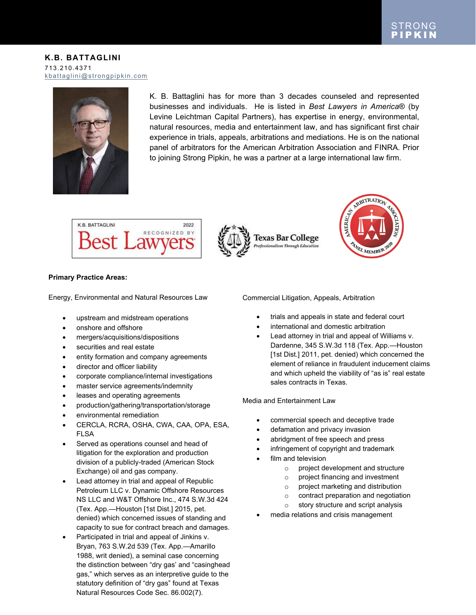

K. B. Battaglini has for more than 3 decades counseled and represented businesses and individuals. He is listed in *Best Lawyers in America*® (by Levine Leichtman Capital Partners), has expertise in energy, environmental, natural resources, media and entertainment law, and has significant first chair experience in trials, appeals, arbitrations and mediations. He is on the national panel of arbitrators for the American Arbitration Association and FINRA. Prior to joining Strong Pipkin, he was a partner at a large international law firm.

**Texas Bar College** 

ofessionalism Through Edu



## **Primary Practice Areas:**

Energy, Environmental and Natural Resources Law

- upstream and midstream operations
- onshore and offshore
- mergers/acquisitions/dispositions
- securities and real estate
- entity formation and company agreements
- director and officer liability
- corporate compliance/internal investigations
- master service agreements/indemnity
- leases and operating agreements
- production/gathering/transportation/storage
- environmental remediation
- CERCLA, RCRA, OSHA, CWA, CAA, OPA, ESA, FLSA
- Served as operations counsel and head of litigation for the exploration and production division of a publicly-traded (American Stock Exchange) oil and gas company.
- Lead attorney in trial and appeal of Republic Petroleum LLC v. Dynamic Offshore Resources NS LLC and W&T Offshore Inc., 474 S.W.3d 424 (Tex. App.—Houston [1st Dist.] 2015, pet. denied) which concerned issues of standing and capacity to sue for contract breach and damages.
- Participated in trial and appeal of Jinkins v. Bryan, 763 S.W.2d 539 (Tex. App.—Amarillo 1988, writ denied), a seminal case concerning the distinction between "dry gas' and "casinghead gas," which serves as an interpretive guide to the statutory definition of "dry gas" found at Texas Natural Resources Code Sec. 86.002(7).

Commercial Litigation, Appeals, Arbitration

- trials and appeals in state and federal court
- international and domestic arbitration
- Lead attorney in trial and appeal of Williams v. Dardenne, 345 S.W.3d 118 (Tex. App.—Houston [1st Dist.] 2011, pet. denied) which concerned the element of reliance in fraudulent inducement claims and which upheld the viability of "as is" real estate sales contracts in Texas.

RBITRATION

EL MEMBER

Media and Entertainment Law

- commercial speech and deceptive trade
- defamation and privacy invasion
- abridgment of free speech and press
- infringement of copyright and trademark
	- film and television
		- o project development and structure
		- o project financing and investment
		- o project marketing and distribution
		- o contract preparation and negotiation
		- o story structure and script analysis
- media relations and crisis management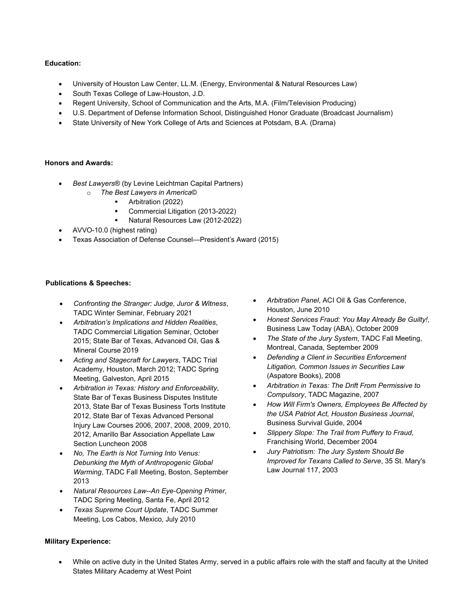## **Education:**

- University of Houston Law Center, LL.M. (Energy, Environmental & Natural Resources Law)
- South Texas College of Law-Houston, J.D.
- Regent University, School of Communication and the Arts, M.A. (Film/Television Producing)
- U.S. Department of Defense Information School, Distinguished Honor Graduate (Broadcast Journalism)
- State University of New York College of Arts and Sciences at Potsdam, B.A. (Drama)

## **Honors and Awards:**

- *Best Lawyers*® (by Levine Leichtman Capital Partners)
	- o *The Best Lawyers in America*©
		- **Arbitration (2022)** 
			- Commercial Litigation (2013-2022)
			- Natural Resources Law (2012-2022)
- AVVO-10.0 (highest rating)
- Texas Association of Defense Counsel—President's Award (2015)

#### **Publications & Speeches:**

- *Confronting the Stranger: Judge, Juror & Witness*, TADC Winter Seminar, February 2021
- *Arbitration's Implications and Hidden Realities*, TADC Commercial Litigation Seminar, October 2015; State Bar of Texas, Advanced Oil, Gas & Mineral Course 2019
- *Acting and Stagecraft for Lawyers*, TADC Trial Academy, Houston, March 2012; TADC Spring Meeting, Galveston, April 2015
- *Arbitration in Texas: History and Enforceability*, State Bar of Texas Business Disputes Institute 2013, State Bar of Texas Business Torts Institute 2012, State Bar of Texas Advanced Personal Injury Law Courses 2006, 2007, 2008, 2009, 2010, 2012, Amarillo Bar Association Appellate Law Section Luncheon 2008
- *No, The Earth is Not Turning Into Venus: Debunking the Myth of Anthropogenic Global Warming*, TADC Fall Meeting, Boston, September 2013
- *Natural Resources Law--An Eye-Opening Primer*, TADC Spring Meeting, Santa Fe, April 2012
- *Texas Supreme Court Update*, TADC Summer Meeting, Los Cabos, Mexico, July 2010
- *Arbitration Panel*, ACI Oil & Gas Conference, Houston, June 2010
- *Honest Services Fraud: You May Already Be Guilty!*, Business Law Today (ABA), October 2009
- *The State of the Jury System*, TADC Fall Meeting, Montreal, Canada, September 2009
- *Defending a Client in Securities Enforcement Litigation, Common Issues in Securities Law*  (Aspatore Books), 2008
- *Arbitration in Texas: The Drift From Permissive to Compulsory*, TADC Magazine, 2007
- *How Will Firm's Owners, Employees Be Affected by the USA Patriot Act, Houston Business Journal*, Business Survival Guide, 2004
- *Slippery Slope: The Trail from Puffery to Fraud*, Franchising World, December 2004
- *Jury Patriotism: The Jury System Should Be Improved for Texans Called to Serve*, 35 St. Mary's Law Journal 117, 2003

- **Military Experience:**
	- While on active duty in the United States Army, served in a public affairs role with the staff and faculty at the United States Military Academy at West Point